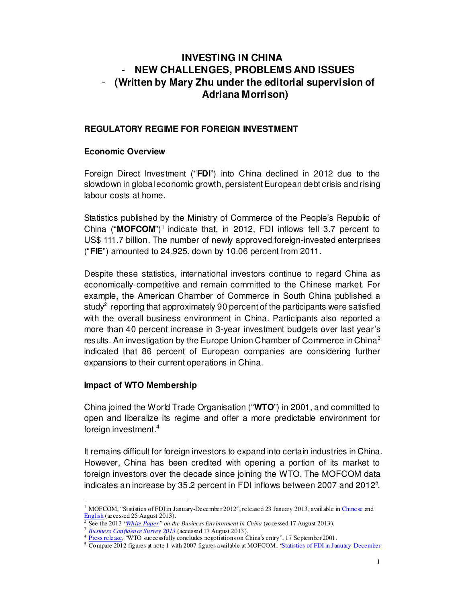# **INVESTING IN CHINA**  - **NEW CHALLENGES, PROBLEMS AND ISSUES**  - **(Written by Mary Zhu under the editorial supervision of Adriana Morrison)**

#### **REGULATORY REGIME FOR FOREIGN INVESTMENT**

#### **Economic Overview**

Foreign Direct Investment ("**FDI**") into China declined in 2012 due to the slowdown in global economic growth, persistent European debt crisis and rising labour costs at home.

Statistics published by the Ministry of Commerce of the People's Republic of China ("MOFCOM")<sup>1</sup> indicate that, in 2012, FDI inflows fell 3.7 percent to US\$ 111.7 billion. The number of newly approved foreign-invested enterprises ("**FIE**") amounted to 24,925, down by 10.06 percent from 2011.

Despite these statistics, international investors continue to regard China as economically-competitive and remain committed to the Chinese market. For example, the American Chamber of Commerce in South China published a study<sup>2</sup> reporting that approximately 90 percent of the participants were satisfied with the overall business environment in China. Participants also reported a more than 40 percent increase in 3-year investment budgets over last year's results. An investigation by the Europe Union Chamber of Commerce in China<sup>3</sup> indicated that 86 percent of European companies are considering further expansions to their current operations in China.

#### **Impact of WTO Membership**

China joined the World Trade Organisation ("**WTO**") in 2001, and committed to open and liberalize its regime and offer a more predictable environment for foreign investment.<sup>4</sup>

It remains difficult for foreign investors to expand into certain industries in China. However, China has been credited with opening a portion of its market to foreign investors over the decade since joining the WTO. The MOFCOM data indicates an increase by 35.2 percent in FDI inflows between 2007 and 2012 $5$ .

<sup>-</sup>1 MOFCOM, "Statistics of FDI in January-December 2012", released 23 January 2013, available in Chinese and English (accessed 25 August 2013).

<sup>2</sup> See the 2013 "White Paper" on the Business Environment in China (accessed 17 August 2013).

<sup>3</sup> *Business Confidence Survey 2013* (accessed 17 August 2013).

<sup>&</sup>lt;sup>4</sup> Press release, "WTO successfully concludes negotiations on China's entry", 17 September 2001.

<sup>&</sup>lt;sup>5</sup> Compare 2012 figures at note 1 with 2007 figures available at MOFCOM, "Statistics of FDI in January-December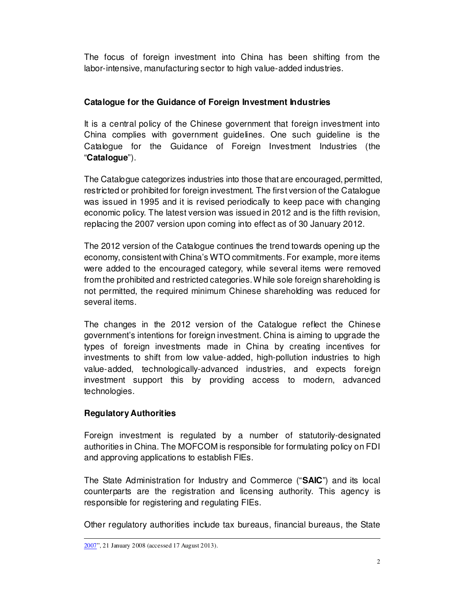The focus of foreign investment into China has been shifting from the labor-intensive, manufacturing sector to high value-added industries.

# **Catalogue for the Guidance of Foreign Investment Industries**

It is a central policy of the Chinese government that foreign investment into China complies with government guidelines. One such guideline is the Catalogue for the Guidance of Foreign Investment Industries (the "**Catalogue**").

The Catalogue categorizes industries into those that are encouraged, permitted, restricted or prohibited for foreign investment. The first version of the Catalogue was issued in 1995 and it is revised periodically to keep pace with changing economic policy. The latest version was issued in 2012 and is the fifth revision, replacing the 2007 version upon coming into effect as of 30 January 2012.

The 2012 version of the Catalogue continues the trend towards opening up the economy, consistent with China's WTO commitments. For example, more items were added to the encouraged category, while several items were removed from the prohibited and restricted categories. While sole foreign shareholding is not permitted, the required minimum Chinese shareholding was reduced for several items.

The changes in the 2012 version of the Catalogue reflect the Chinese government's intentions for foreign investment. China is aiming to upgrade the types of foreign investments made in China by creating incentives for investments to shift from low value-added, high-pollution industries to high value-added, technologically-advanced industries, and expects foreign investment support this by providing access to modern, advanced technologies.

# **Regulatory Authorities**

Foreign investment is regulated by a number of statutorily-designated authorities in China. The MOFCOM is responsible for formulating policy on FDI and approving applications to establish FIEs.

The State Administration for Industry and Commerce ("**SAIC**") and its local counterparts are the registration and licensing authority. This agency is responsible for registering and regulating FIEs.

Other regulatory authorities include tax bureaus, financial bureaus, the State

<sup>-</sup>2007", 21 January 2008 (accessed 17 August 2013).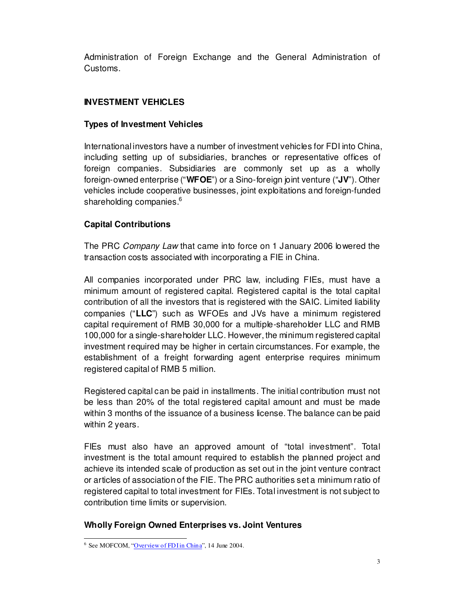Administration of Foreign Exchange and the General Administration of Customs.

# **INVESTMENT VEHICLES**

## **Types of Investment Vehicles**

International investors have a number of investment vehicles for FDI into China, including setting up of subsidiaries, branches or representative offices of foreign companies. Subsidiaries are commonly set up as a wholly foreign-owned enterprise ("**WFOE**") or a Sino-foreign joint venture ("**JV**"). Other vehicles include cooperative businesses, joint exploitations and foreign-funded shareholding companies.<sup>6</sup>

# **Capital Contributions**

The PRC Company Law that came into force on 1 January 2006 lowered the transaction costs associated with incorporating a FIE in China.

All companies incorporated under PRC law, including FIEs, must have a minimum amount of registered capital. Registered capital is the total capital contribution of all the investors that is registered with the SAIC. Limited liability companies ("**LLC**") such as WFOEs and JVs have a minimum registered capital requirement of RMB 30,000 for a multiple-shareholder LLC and RMB 100,000 for a single-shareholder LLC. However, the minimum registered capital investment required may be higher in certain circumstances. For example, the establishment of a freight forwarding agent enterprise requires minimum registered capital of RMB 5 million.

Registered capital can be paid in installments. The initial contribution must not be less than 20% of the total registered capital amount and must be made within 3 months of the issuance of a business license. The balance can be paid within 2 years.

FIEs must also have an approved amount of "total investment". Total investment is the total amount required to establish the planned project and achieve its intended scale of production as set out in the joint venture contract or articles of association of the FIE. The PRC authorities set a minimum ratio of registered capital to total investment for FIEs. Total investment is not subject to contribution time limits or supervision.

## **Wholly Foreign Owned Enterprises vs. Joint Ventures**

<sup>–&</sup>lt;br><sup>6</sup> See MOFCOM, "<u>Overview of FDI in China</u>", 14 June 2004.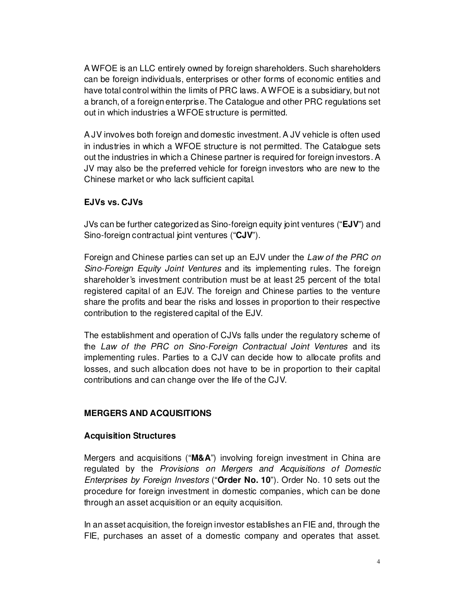A WFOE is an LLC entirely owned by foreign shareholders. Such shareholders can be foreign individuals, enterprises or other forms of economic entities and have total control within the limits of PRC laws. A WFOE is a subsidiary, but not a branch, of a foreign enterprise. The Catalogue and other PRC regulations set out in which industries a WFOE structure is permitted.

A JV involves both foreign and domestic investment. A JV vehicle is often used in industries in which a WFOE structure is not permitted. The Catalogue sets out the industries in which a Chinese partner is required for foreign investors. A JV may also be the preferred vehicle for foreign investors who are new to the Chinese market or who lack sufficient capital.

### **EJVs vs. CJVs**

JVs can be further categorized as Sino-foreign equity joint ventures ("**EJV**") and Sino-foreign contractual joint ventures ("**CJV**").

Foreign and Chinese parties can set up an EJV under the Law of the PRC on Sino-Foreign Equity Joint Ventures and its implementing rules. The foreign shareholder's investment contribution must be at least 25 percent of the total registered capital of an EJV. The foreign and Chinese parties to the venture share the profits and bear the risks and losses in proportion to their respective contribution to the registered capital of the EJV.

The establishment and operation of CJVs falls under the regulatory scheme of the Law of the PRC on Sino-Foreign Contractual Joint Ventures and its implementing rules. Parties to a CJV can decide how to allocate profits and losses, and such allocation does not have to be in proportion to their capital contributions and can change over the life of the CJV.

## **MERGERS AND ACQUISITIONS**

#### **Acquisition Structures**

Mergers and acquisitions ("**M&A**") involving foreign investment in China are regulated by the Provisions on Mergers and Acquisitions of Domestic Enterprises by Foreign Investors ("**Order No. 10**"). Order No. 10 sets out the procedure for foreign investment in domestic companies, which can be done through an asset acquisition or an equity acquisition.

In an asset acquisition, the foreign investor establishes an FIE and, through the FIE, purchases an asset of a domestic company and operates that asset.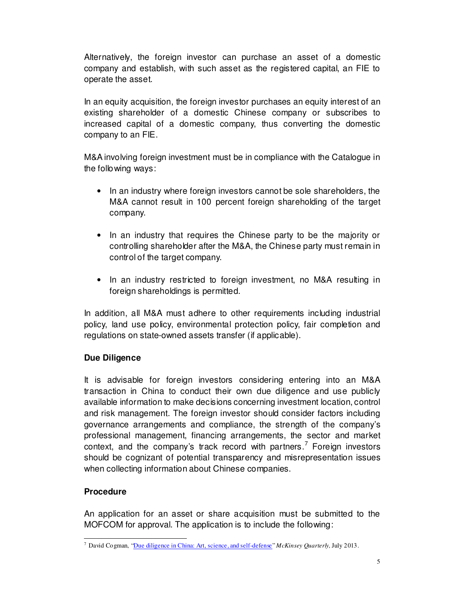Alternatively, the foreign investor can purchase an asset of a domestic company and establish, with such asset as the registered capital, an FIE to operate the asset.

In an equity acquisition, the foreign investor purchases an equity interest of an existing shareholder of a domestic Chinese company or subscribes to increased capital of a domestic company, thus converting the domestic company to an FIE.

M&A involving foreign investment must be in compliance with the Catalogue in the following ways:

- In an industry where foreign investors cannot be sole shareholders, the M&A cannot result in 100 percent foreign shareholding of the target company.
- In an industry that requires the Chinese party to be the majority or controlling shareholder after the M&A, the Chinese party must remain in control of the target company.
- In an industry restricted to foreign investment, no M&A resulting in foreign shareholdings is permitted.

In addition, all M&A must adhere to other requirements including industrial policy, land use policy, environmental protection policy, fair completion and regulations on state-owned assets transfer (if applicable).

## **Due Diligence**

It is advisable for foreign investors considering entering into an M&A transaction in China to conduct their own due diligence and use publicly available information to make decisions concerning investment location, control and risk management. The foreign investor should consider factors including governance arrangements and compliance, the strength of the company's professional management, financing arrangements, the sector and market context, and the company's track record with partners.<sup>7</sup> Foreign investors should be cognizant of potential transparency and misrepresentation issues when collecting information about Chinese companies.

## **Procedure**

An application for an asset or share acquisition must be submitted to the MOFCOM for approval. The application is to include the following:

 7 David Cogman, "Due diligence in China: Art, science, and self-defense" *McKinsey Quarterly,* July 2013.